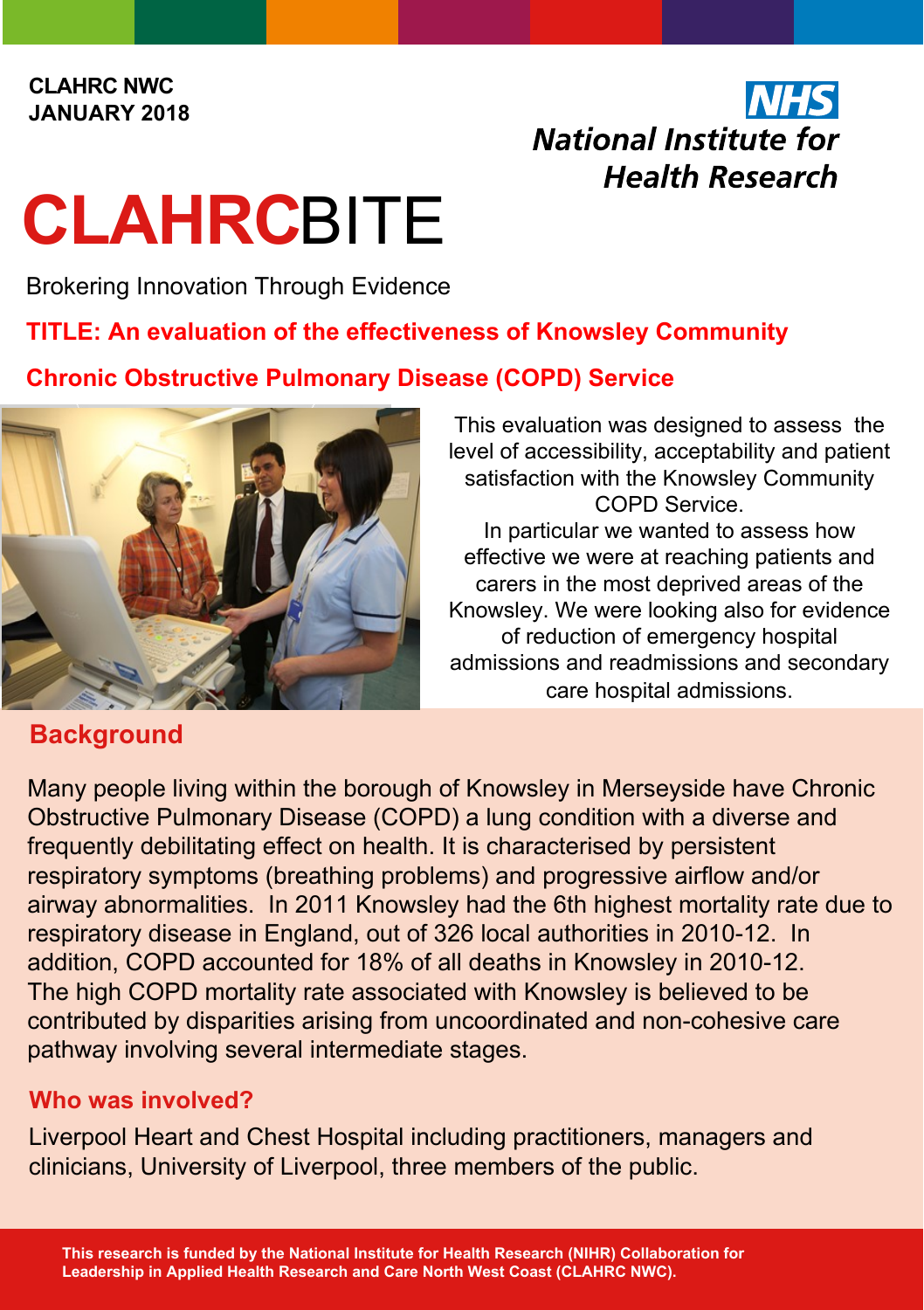## National Institute for **Health Research**

# **CLAHRC**BITE

Brokering Innovation Through Evidence

#### **TITLE: An evaluation of the effectiveness of Knowsley Community**

**Chronic Obstructive Pulmonary Disease (COPD) Service** 



### **Background**

This evaluation was designed to assess the level of accessibility, acceptability and patient satisfaction with the Knowsley Community COPD Service. In particular we wanted to assess how effective we were at reaching patients and carers in the most deprived areas of the Knowsley. We were looking also for evidence of reduction of emergency hospital

admissions and readmissions and secondary care hospital admissions.

Many people living within the borough of Knowsley in Merseyside have Chronic Obstructive Pulmonary Disease (COPD) a lung condition with a diverse and frequently debilitating effect on health. It is characterised by persistent respiratory symptoms (breathing problems) and progressive airflow and/or airway abnormalities. In 2011 Knowsley had the 6th highest mortality rate due to respiratory disease in England, out of 326 local authorities in 2010-12. In addition, COPD accounted for 18% of all deaths in Knowsley in 2010-12. The high COPD mortality rate associated with Knowsley is believed to be contributed by disparities arising from uncoordinated and non-cohesive care pathway involving several intermediate stages.

#### **Who was involved?**

Liverpool Heart and Chest Hospital including practitioners, managers and clinicians, University of Liverpool, three members of the public.